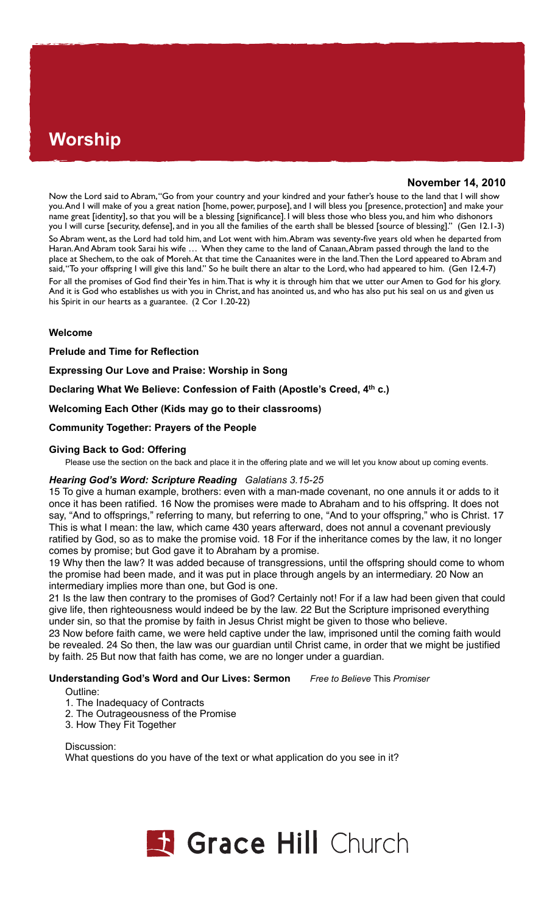# **Worship**

# **November 14, 2010**

Now the Lord said to Abram, "Go from your country and your kindred and your father's house to the land that I will show you. And I will make of you a great nation [home, power, purpose], and I will bless you [presence, protection] and make your name great [identity], so that you will be a blessing [significance]. I will bless those who bless you, and him who dishonors you I will curse [security, defense], and in you all the families of the earth shall be blessed [source of blessing]." (Gen 12.1-3) So Abram went, as the Lord had told him, and Lot went with him. Abram was seventy-five years old when he departed from Haran. And Abram took Sarai his wife … When they came to the land of Canaan, Abram passed through the land to the place at Shechem, to the oak of Moreh. At that time the Canaanites were in the land. Then the Lord appeared to Abram and said, "To your offspring I will give this land." So he built there an altar to the Lord, who had appeared to him. (Gen 12.4-7) For all the promises of God find their Yes in him. That is why it is through him that we utter our Amen to God for his glory. And it is God who establishes us with you in Christ, and has anointed us, and who has also put his seal on us and given us his Spirit in our hearts as a guarantee. (2 Cor 1.20-22)

## **Welcome**

**Prelude and Time for Reflection**

**Expressing Our Love and Praise: Worship in Song** 

**Declaring What We Believe: Confession of Faith (Apostle's Creed, 4th c.)**

**Welcoming Each Other (Kids may go to their classrooms)** 

## **Community Together: Prayers of the People**

## **Giving Back to God: Offering**

Please use the section on the back and place it in the offering plate and we will let you know about up coming events.

## *Hearing God's Word: Scripture Reading Galatians 3.15-25*

15 To give a human example, brothers: even with a man-made covenant, no one annuls it or adds to it once it has been ratified. 16 Now the promises were made to Abraham and to his offspring. It does not say, "And to offsprings," referring to many, but referring to one, "And to your offspring," who is Christ. 17 This is what I mean: the law, which came 430 years afterward, does not annul a covenant previously ratified by God, so as to make the promise void. 18 For if the inheritance comes by the law, it no longer comes by promise; but God gave it to Abraham by a promise.

19 Why then the law? It was added because of transgressions, until the offspring should come to whom the promise had been made, and it was put in place through angels by an intermediary. 20 Now an intermediary implies more than one, but God is one.

21 Is the law then contrary to the promises of God? Certainly not! For if a law had been given that could give life, then righteousness would indeed be by the law. 22 But the Scripture imprisoned everything under sin, so that the promise by faith in Jesus Christ might be given to those who believe.

23 Now before faith came, we were held captive under the law, imprisoned until the coming faith would be revealed. 24 So then, the law was our guardian until Christ came, in order that we might be justified by faith. 25 But now that faith has come, we are no longer under a guardian.

## **Understanding God's Word and Our Lives: Sermon** *Free to Believe* This *Promiser*

Outline:

- 1. The Inadequacy of Contracts
- 2. The Outrageousness of the Promise
- 3. How They Fit Together

Discussion: What questions do you have of the text or what application do you see in it?